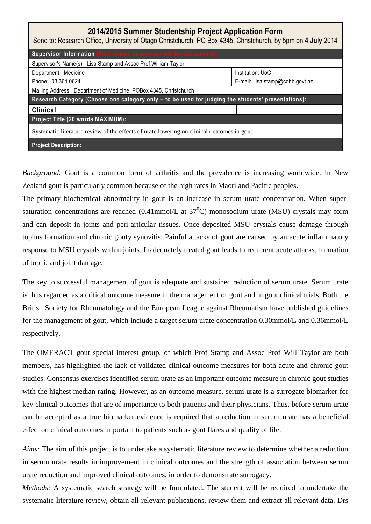| 2014/2015 Summer Studentship Project Application Form<br>Send to: Research Office, University of Otago Christchurch, PO Box 4345, Christchurch, by 5pm on 4 July 2014 |                                  |
|-----------------------------------------------------------------------------------------------------------------------------------------------------------------------|----------------------------------|
| Supervisor Information (First named supervisor will be the contact):                                                                                                  |                                  |
| Supervisor's Name(s): Lisa Stamp and Assoc Prof William Taylor                                                                                                        |                                  |
| Department: Medicine                                                                                                                                                  | Institution: UoC                 |
| Phone: 03 364 0624                                                                                                                                                    | E-mail: $lisa.stamp@cdhb.gov.nz$ |
| Mailing Address: Department of Medicine, POBox 4345, Christchurch                                                                                                     |                                  |
| Research Category (Choose one category only - to be used for judging the students' presentations):                                                                    |                                  |
| <b>Clinical</b>                                                                                                                                                       |                                  |
| Project Title (20 words MAXIMUM):                                                                                                                                     |                                  |
| Systematic literature review of the effects of urate lowering on clinical outcomes in gout.                                                                           |                                  |
| <b>Project Description:</b>                                                                                                                                           |                                  |

*Background:* Gout is a common form of arthritis and the prevalence is increasing worldwide. In New Zealand gout is particularly common because of the high rates in Maori and Pacific peoples.

The primary biochemical abnormality in gout is an increase in serum urate concentration. When supersaturation concentrations are reached (0.41mmol/L at  $37^{\circ}$ C) monosodium urate (MSU) crystals may form and can deposit in joints and peri-articular tissues. Once deposited MSU crystals cause damage through tophus formation and chronic gouty synovitis. Painful attacks of gout are caused by an acute inflammatory response to MSU crystals within joints. Inadequately treated gout leads to recurrent acute attacks, formation of tophi, and joint damage.

The key to successful management of gout is adequate and sustained reduction of serum urate. Serum urate is thus regarded as a critical outcome measure in the management of gout and in gout clinical trials. Both the British Society for Rheumatology and the European League against Rheumatism have published guidelines for the management of gout, which include a target serum urate concentration 0.30mmol/L and 0.36mmol/L respectively.

The OMERACT gout special interest group, of which Prof Stamp and Assoc Prof Will Taylor are both members, has highlighted the lack of validated clinical outcome measures for both acute and chronic gout studies. Consensus exercises identified serum urate as an important outcome measure in chronic gout studies with the highest median rating. However, as an outcome measure, serum urate is a surrogate biomarker for key clinical outcomes that are of importance to both patients and their physicians. Thus, before serum urate can be accepted as a true biomarker evidence is required that a reduction in serum urate has a beneficial effect on clinical outcomes important to patients such as gout flares and quality of life.

*Aims:* The aim of this project is to undertake a systematic literature review to determine whether a reduction in serum urate results in improvement in clinical outcomes and the strength of association between serum urate reduction and improved clinical outcomes, in order to demonstrate surrogacy.

*Methods:* A systematic search strategy will be formulated. The student will be required to undertake the systematic literature review, obtain all relevant publications, review them and extract all relevant data. Drs